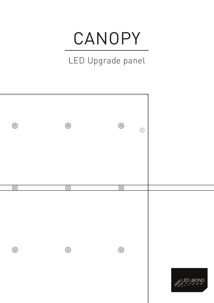## CANOPY

## LED Upgrade panel

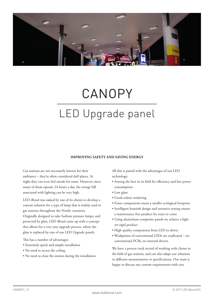

## CANOPY LED Upgrade panel

### **IMPROVING SAFETY AND SAVING ENERGY**

Gas stations are not necessarily known for their ambiance – they're often considered dull places. At night they can even feel unsafe for some. However, since many of them operate 24 hours a day, the energy bill associated with lighting can be very high.

LED iBond was tasked by one of its clients to develop a custom solution for a type of lamp that is widely used in gas stations throughout the Nordic countries. Originally designed to take Sodium pressure lamps, and protected by glass, LED iBond came up with a concept that allows for a very easy upgrade process, where the glass is replaced by one of our LED Upgrade panels.

This has a number of advantages:

- Extremely quick and simple installation
- No need to access the ceiling
- No need to close the station during the installation

All this is paired with the advantages of our LED technology:

- Among the best in its field for efficiency and low power consumption
- Low glare
- Good colour rendering
- Fewer components mean a smaller ecological footprint
- Intelligent heatsink design and extensive testing ensure a maintenance free product for years to come
- Using aluminium composite panels we achieve a light yet rigid product
- High quality components from LED to driver
- Weakpoints of conventional LEDs are eradicated no conventional PCBs, no internal drivers

We have a proven track record of working with clients in the field of gas stations, and can also adapt our solutions to different measurements or specifications. Our team is happy to discuss any custom requirements with you.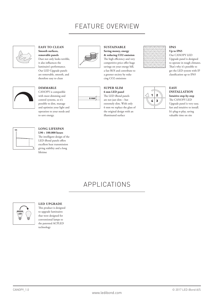## FEATURE OVERVIEW

**SUSTAINABLE Saving money, energy & reducing CO2 emission**  The high efficiency and very competitive price offer huge savings on your energy bill, a fast ROI and contribute to a greener society by reducing CO2 emissions



### **EASY TO CLEAN Smooth surfaces, removable panels** Dust not only looks terrible, it also influences the luminaire's performance. Our LED Upgrade panels are removable, smooth, and therefore easy to clean



### **DIMMABLE**

CANOPY is compatible with most dimming and control systems, so it's possible to dim, manage and optimize your light and operation to your needs and to save energy.



### **LONG LIFESPAN**

**L90 > 100.000 hours** The intelligent design of the LED iBond panels offers excellent heat transmission giving stability and a long lifetime



# $6 \text{ mm}$

### **SUPER SLIM 6 mm LED panel** The LED iBond panels are not just slim – but extremely slim. With only 6 mm we replace the glass of the original design with an illuminated surface



### **IP65 Up to IP65**

Our CANOPY LED Upgrade panel is designed to operate in tough climates. That's why it's possible to get the LED system with IP classification up to IP65



 $\overline{3}$ 

#### **EASY INSTALLATION Intuitive step-by-step** The CANOPY LED

Upgrade panel is very easy, fast and intuitive to install. It's plug-n-play, saving valuable time on site

### APPLICATIONS



### **LED UPGRADE**

This product is designed to upgrade luminaires that were designed for conventional lamps to the patented ACPLED technology